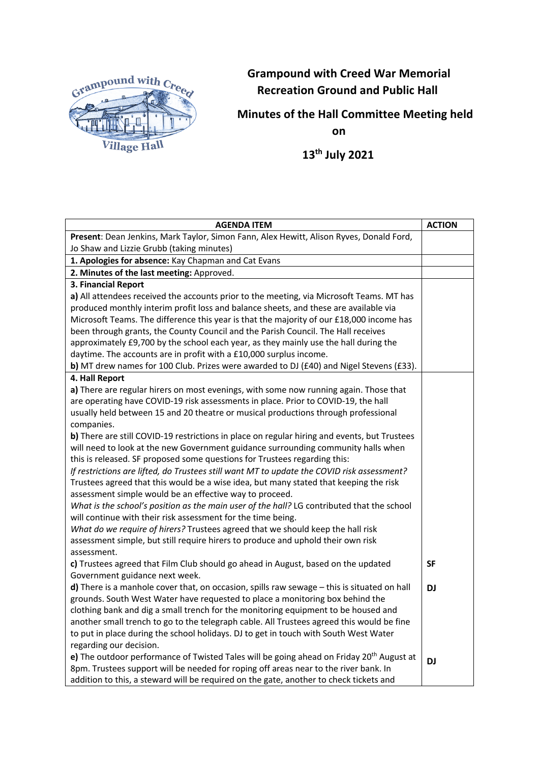

## **Grampound with Creed War Memorial Recreation Ground and Public Hall**

**Minutes of the Hall Committee Meeting held on**

 **13th July 2021**

| <b>AGENDA ITEM</b>                                                                                   | <b>ACTION</b> |
|------------------------------------------------------------------------------------------------------|---------------|
| Present: Dean Jenkins, Mark Taylor, Simon Fann, Alex Hewitt, Alison Ryves, Donald Ford,              |               |
| Jo Shaw and Lizzie Grubb (taking minutes)                                                            |               |
| 1. Apologies for absence: Kay Chapman and Cat Evans                                                  |               |
| 2. Minutes of the last meeting: Approved.                                                            |               |
| 3. Financial Report                                                                                  |               |
| a) All attendees received the accounts prior to the meeting, via Microsoft Teams. MT has             |               |
| produced monthly interim profit loss and balance sheets, and these are available via                 |               |
| Microsoft Teams. The difference this year is that the majority of our £18,000 income has             |               |
| been through grants, the County Council and the Parish Council. The Hall receives                    |               |
| approximately £9,700 by the school each year, as they mainly use the hall during the                 |               |
| daytime. The accounts are in profit with a £10,000 surplus income.                                   |               |
| b) MT drew names for 100 Club. Prizes were awarded to DJ ( $E40$ ) and Nigel Stevens ( $E33$ ).      |               |
| 4. Hall Report                                                                                       |               |
| a) There are regular hirers on most evenings, with some now running again. Those that                |               |
| are operating have COVID-19 risk assessments in place. Prior to COVID-19, the hall                   |               |
| usually held between 15 and 20 theatre or musical productions through professional                   |               |
| companies.                                                                                           |               |
| b) There are still COVID-19 restrictions in place on regular hiring and events, but Trustees         |               |
| will need to look at the new Government guidance surrounding community halls when                    |               |
| this is released. SF proposed some questions for Trustees regarding this:                            |               |
| If restrictions are lifted, do Trustees still want MT to update the COVID risk assessment?           |               |
| Trustees agreed that this would be a wise idea, but many stated that keeping the risk                |               |
| assessment simple would be an effective way to proceed.                                              |               |
| What is the school's position as the main user of the hall? LG contributed that the school           |               |
| will continue with their risk assessment for the time being.                                         |               |
| What do we require of hirers? Trustees agreed that we should keep the hall risk                      |               |
| assessment simple, but still require hirers to produce and uphold their own risk                     |               |
| assessment.                                                                                          |               |
| c) Trustees agreed that Film Club should go ahead in August, based on the updated                    | <b>SF</b>     |
| Government guidance next week.                                                                       |               |
| d) There is a manhole cover that, on occasion, spills raw sewage $-$ this is situated on hall        | <b>DJ</b>     |
| grounds. South West Water have requested to place a monitoring box behind the                        |               |
| clothing bank and dig a small trench for the monitoring equipment to be housed and                   |               |
| another small trench to go to the telegraph cable. All Trustees agreed this would be fine            |               |
| to put in place during the school holidays. DJ to get in touch with South West Water                 |               |
| regarding our decision.                                                                              |               |
| e) The outdoor performance of Twisted Tales will be going ahead on Friday 20 <sup>th</sup> August at | <b>DJ</b>     |
| 8pm. Trustees support will be needed for roping off areas near to the river bank. In                 |               |
| addition to this, a steward will be required on the gate, another to check tickets and               |               |